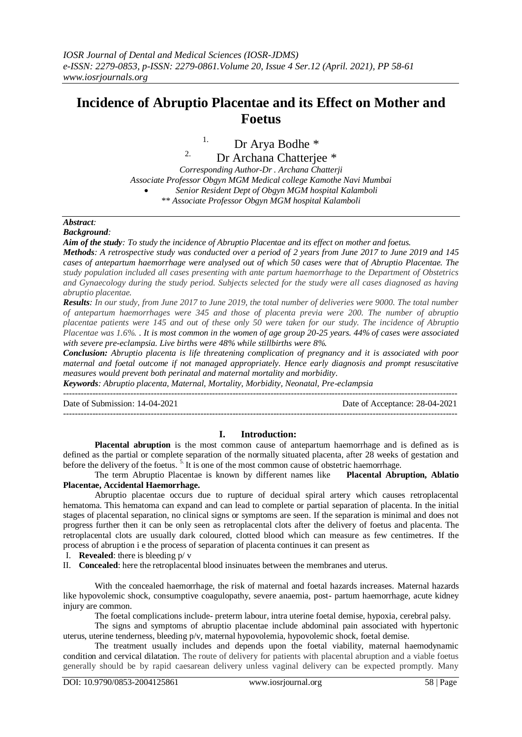## **Incidence of Abruptio Placentae and its Effect on Mother and Foetus**

# <sup>1.</sup> Dr Arya Bodhe \*

<sup>2.</sup> Dr Archana Chatterjee  $*$ 

*Corresponding Author-Dr . Archana Chatterji Associate Professor Obgyn MGM Medical college Kamothe Navi Mumbai Senior Resident Dept of Obgyn MGM hospital Kalamboli \*\* Associate Professor Obgyn MGM hospital Kalamboli*

## *Abstract:*

*Background:* 

*Aim of the study: To study the incidence of Abruptio Placentae and its effect on mother and foetus.*

*Methods: A retrospective study was conducted over a period of 2 years from June 2017 to June 2019 and 145 cases of antepartum haemorrhage were analysed out of which 50 cases were that of Abruptio Placentae. The study population included all cases presenting with ante partum haemorrhage to the Department of Obstetrics and Gynaecology during the study period. Subjects selected for the study were all cases diagnosed as having abruptio placentae.*

*Results: In our study, from June 2017 to June 2019, the total number of deliveries were 9000. The total number of antepartum haemorrhages were 345 and those of placenta previa were 200. The number of abruptio placentae patients were 145 and out of these only 50 were taken for our study. The incidence of Abruptio Placentae was 1.6%. . It is most common in the women of age group 20-25 years. 44% of cases were associated with severe pre-eclampsia. Live births were 48% while stillbirths were 8%.*

*Conclusion: Abruptio placenta is life threatening complication of pregnancy and it is associated with poor maternal and foetal outcome if not managed appropriately. Hence early diagnosis and prompt resuscitative measures would prevent both perinatal and maternal mortality and morbidity.* 

*Keywords: Abruptio placenta, Maternal, Mortality, Morbidity, Neonatal, Pre-eclampsia*

Date of Submission: 14-04-2021 Date of Acceptance: 28-04-2021

---------------------------------------------------------------------------------------------------------------------------------------

---------------------------------------------------------------------------------------------------------------------------------------

### **I. Introduction:**

**Placental abruption** is the most common cause of antepartum haemorrhage and is defined as is defined as the partial or complete separation of the normally situated placenta, after 28 weeks of gestation and before the delivery of the foetus.<sup>5</sup> It is one of the most common cause of obstetric haemorrhage.

The term Abruptio Placentae is known by different names like **Placental Abruption, Ablatio Placentae, Accidental Haemorrhage.**

Abruptio placentae occurs due to rupture of decidual spiral artery which causes retroplacental hematoma. This hematoma can expand and can lead to complete or partial separation of placenta. In the initial stages of placental separation, no clinical signs or symptoms are seen. If the separation is minimal and does not progress further then it can be only seen as retroplacental clots after the delivery of foetus and placenta. The retroplacental clots are usually dark coloured, clotted blood which can measure as few centimetres. If the process of abruption i e the process of separation of placenta continues it can present as

I. **Revealed**: there is bleeding p/ v

II. **Concealed**: here the retroplacental blood insinuates between the membranes and uterus.

With the concealed haemorrhage, the risk of maternal and foetal hazards increases. Maternal hazards like hypovolemic shock, consumptive coagulopathy, severe anaemia, post- partum haemorrhage, acute kidney injury are common.

The foetal complications include- preterm labour, intra uterine foetal demise, hypoxia, cerebral palsy.

The signs and symptoms of abruptio placentae include abdominal pain associated with hypertonic uterus, uterine tenderness, bleeding p/v, maternal hypovolemia, hypovolemic shock, foetal demise.

The treatment usually includes and depends upon the foetal viability, maternal haemodynamic condition and cervical dilatation. The route of delivery for patients with placental abruption and a viable foetus generally should be by rapid caesarean delivery unless vaginal delivery can be expected promptly. Many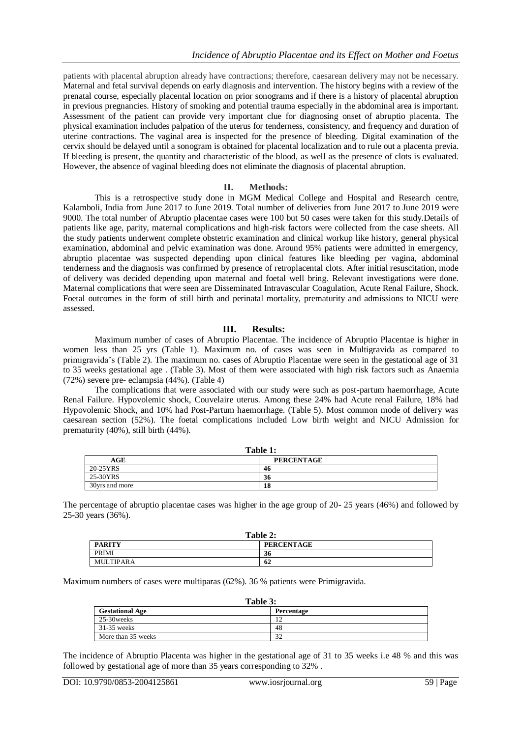patients with placental abruption already have contractions; therefore, caesarean delivery may not be necessary. Maternal and fetal survival depends on early diagnosis and intervention. The history begins with a review of the prenatal course, especially placental location on prior sonograms and if there is a history of placental abruption in previous pregnancies. History of smoking and potential trauma especially in the abdominal area is important. Assessment of the patient can provide very important clue for diagnosing onset of abruptio placenta. The physical examination includes palpation of the uterus for tenderness, consistency, and frequency and duration of uterine contractions. The vaginal area is inspected for the presence of bleeding. Digital examination of the cervix should be delayed until a sonogram is obtained for placental localization and to rule out a placenta previa. If bleeding is present, the quantity and characteristic of the blood, as well as the presence of clots is evaluated. However, the absence of vaginal bleeding does not eliminate the diagnosis of placental abruption.

#### **II. Methods:**

This is a retrospective study done in MGM Medical College and Hospital and Research centre, Kalamboli, India from June 2017 to June 2019. Total number of deliveries from June 2017 to June 2019 were 9000. The total number of Abruptio placentae cases were 100 but 50 cases were taken for this study.Details of patients like age, parity, maternal complications and high-risk factors were collected from the case sheets. All the study patients underwent complete obstetric examination and clinical workup like history, general physical examination, abdominal and pelvic examination was done. Around 95% patients were admitted in emergency, abruptio placentae was suspected depending upon clinical features like bleeding per vagina, abdominal tenderness and the diagnosis was confirmed by presence of retroplacental clots. After initial resuscitation, mode of delivery was decided depending upon maternal and foetal well bring. Relevant investigations were done. Maternal complications that were seen are Disseminated Intravascular Coagulation, Acute Renal Failure, Shock. Foetal outcomes in the form of still birth and perinatal mortality, prematurity and admissions to NICU were assessed.

#### **III. Results:**

Maximum number of cases of Abruptio Placentae. The incidence of Abruptio Placentae is higher in women less than 25 yrs (Table 1). Maximum no. of cases was seen in Multigravida as compared to primigravida's (Table 2). The maximum no. cases of Abruptio Placentae were seen in the gestational age of 31 to 35 weeks gestational age . (Table 3). Most of them were associated with high risk factors such as Anaemia (72%) severe pre- eclampsia (44%). (Table 4)

The complications that were associated with our study were such as post-partum haemorrhage, Acute Renal Failure. Hypovolemic shock, Couvelaire uterus. Among these 24% had Acute renal Failure, 18% had Hypovolemic Shock, and 10% had Post-Partum haemorrhage. (Table 5). Most common mode of delivery was caesarean section (52%). The foetal complications included Low birth weight and NICU Admission for prematurity (40%), still birth (44%).

| Table 1:       |                   |  |
|----------------|-------------------|--|
| AGE            | <b>PERCENTAGE</b> |  |
| 20-25YRS       | 46                |  |
| 25-30YRS       | 36                |  |
| 30yrs and more | 18                |  |

The percentage of abruptio placentae cases was higher in the age group of 20- 25 years (46%) and followed by 25-30 years (36%).

| Table 2:      |                   |  |
|---------------|-------------------|--|
| <b>PARITY</b> | <b>PERCENTAGE</b> |  |
| PRIMI         | 36                |  |
| MULTIPARA     | 62                |  |

Maximum numbers of cases were multiparas (62%). 36 % patients were Primigravida.

| Table 3:               |            |  |
|------------------------|------------|--|
| <b>Gestational Age</b> | Percentage |  |
| 25-30 weeks            | 12         |  |
| $31-35$ weeks          | 48         |  |
| More than 35 weeks     | 32         |  |

The incidence of Abruptio Placenta was higher in the gestational age of 31 to 35 weeks i.e 48 % and this was followed by gestational age of more than 35 years corresponding to 32% .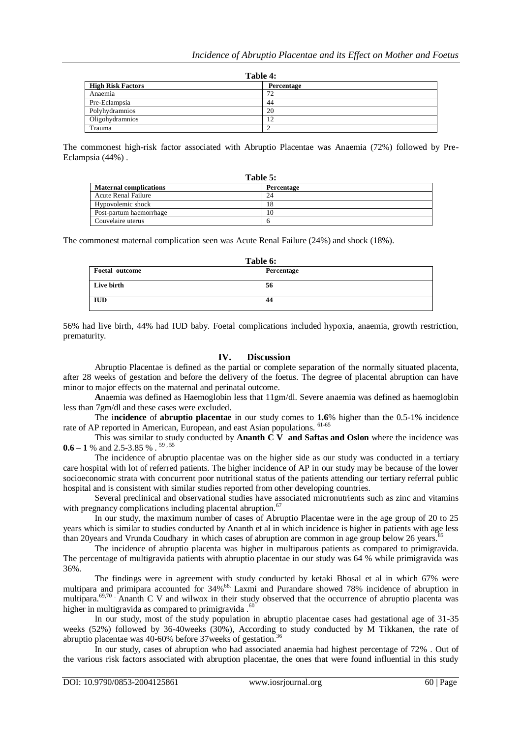| Table 4:                 |            |
|--------------------------|------------|
| <b>High Risk Factors</b> | Percentage |
| Anaemia                  | 72         |
| Pre-Eclampsia            | 44         |
| Polyhydramnios           | 20         |
| Oligohydramnios          | ר ו        |
| Trauma                   |            |

The commonest high-risk factor associated with Abruptio Placentae was Anaemia (72%) followed by Pre-Eclampsia (44%) .

| Table 5:                      |            |  |
|-------------------------------|------------|--|
| <b>Maternal complications</b> | Percentage |  |
| <b>Acute Renal Failure</b>    | 24         |  |
| Hypovolemic shock             | 18         |  |
| Post-partum haemorrhage       | 10         |  |
| Couvelaire uterus             |            |  |

The commonest maternal complication seen was Acute Renal Failure (24%) and shock (18%).

| Table 6:       |            |
|----------------|------------|
| Foetal outcome | Percentage |
| Live birth     | 56         |
| <b>IUD</b>     | 44         |

56% had live birth, 44% had IUD baby. Foetal complications included hypoxia, anaemia, growth restriction, prematurity.

#### **IV. Discussion**

Abruptio Placentae is defined as the partial or complete separation of the normally situated placenta, after 28 weeks of gestation and before the delivery of the foetus. The degree of placental abruption can have minor to major effects on the maternal and perinatal outcome.

**A**naemia was defined as Haemoglobin less that 11gm/dl. Severe anaemia was defined as haemoglobin less than 7gm/dl and these cases were excluded.

The i**ncidence** of **abruptio placentae** in our study comes to **1.6**% higher than the 0.5-1% incidence rate of AP reported in American, European, and east Asian populations. <sup>61-65</sup>

This was similar to study conducted by **Ananth C V** and Saftas and Oslon where the incidence was **0.6 – 1** % and 2.5-3.85 % . 59 , 55

The incidence of abruptio placentae was on the higher side as our study was conducted in a tertiary care hospital with lot of referred patients. The higher incidence of AP in our study may be because of the lower socioeconomic strata with concurrent poor nutritional status of the patients attending our tertiary referral public hospital and is consistent with similar studies reported from other developing countries.

Several preclinical and observational studies have associated micronutrients such as zinc and vitamins with pregnancy complications including placental abruption.<sup>67</sup>

In our study, the maximum number of cases of Abruptio Placentae were in the age group of 20 to 25 years which is similar to studies conducted by Ananth et al in which incidence is higher in patients with age less than 20years and Vrunda Coudhary in which cases of abruption are common in age group below 26 years.<sup>8</sup>

The incidence of abruptio placenta was higher in multiparous patients as compared to primigravida. The percentage of multigravida patients with abruptio placentae in our study was 64 % while primigravida was 36%.

The findings were in agreement with study conducted by ketaki Bhosal et al in which 67% were multipara and primipara accounted for 34%68. Laxmi and Purandare showed 78% incidence of abruption in multipara.<sup>69,70</sup> Ananth C V and wilwox in their study observed that the occurrence of abruptio placenta was higher in multigravida as compared to primigravida.<sup>60</sup>

In our study, most of the study population in abruptio placentae cases had gestational age of 31-35 weeks (52%) followed by 36-40weeks (30%), According to study conducted by M Tikkanen, the rate of abruptio placentae was 40-60% before 37 weeks of gestation.<sup>36</sup>

In our study, cases of abruption who had associated anaemia had highest percentage of 72% . Out of the various risk factors associated with abruption placentae, the ones that were found influential in this study